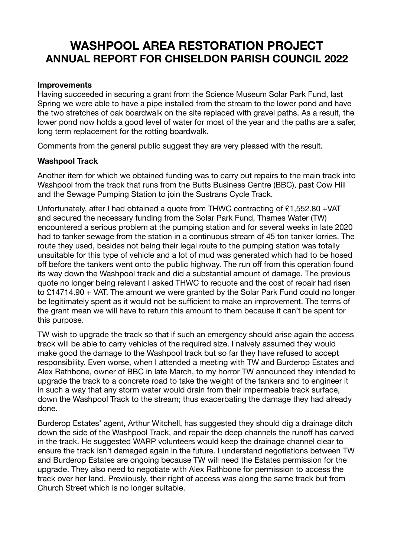# **WASHPOOL AREA RESTORATION PROJECT ANNUAL REPORT FOR CHISELDON PARISH COUNCIL 2022**

#### **Improvements**

Having succeeded in securing a grant from the Science Museum Solar Park Fund, last Spring we were able to have a pipe installed from the stream to the lower pond and have the two stretches of oak boardwalk on the site replaced with gravel paths. As a result, the lower pond now holds a good level of water for most of the year and the paths are a safer, long term replacement for the rotting boardwalk.

Comments from the general public suggest they are very pleased with the result.

## **Washpool Track**

Another item for which we obtained funding was to carry out repairs to the main track into Washpool from the track that runs from the Butts Business Centre (BBC), past Cow Hill and the Sewage Pumping Station to join the Sustrans Cycle Track.

Unfortunately, after I had obtained a quote from THWC contracting of £1,552.80 +VAT and secured the necessary funding from the Solar Park Fund, Thames Water (TW) encountered a serious problem at the pumping station and for several weeks in late 2020 had to tanker sewage from the station in a continuous stream of 45 ton tanker lorries. The route they used, besides not being their legal route to the pumping station was totally unsuitable for this type of vehicle and a lot of mud was generated which had to be hosed off before the tankers went onto the public highway. The run off from this operation found its way down the Washpool track and did a substantial amount of damage. The previous quote no longer being relevant I asked THWC to requote and the cost of repair had risen to £14714.90 + VAT. The amount we were granted by the Solar Park Fund could no longer be legitimately spent as it would not be sufficient to make an improvement. The terms of the grant mean we will have to return this amount to them because it can't be spent for this purpose.

TW wish to upgrade the track so that if such an emergency should arise again the access track will be able to carry vehicles of the required size. I naively assumed they would make good the damage to the Washpool track but so far they have refused to accept responsibility. Even worse, when I attended a meeting with TW and Burderop Estates and Alex Rathbone, owner of BBC in late March, to my horror TW announced they intended to upgrade the track to a concrete road to take the weight of the tankers and to engineer it in such a way that any storm water would drain from their impermeable track surface, down the Washpool Track to the stream; thus exacerbating the damage they had already done.

Burderop Estates' agent, Arthur Witchell, has suggested they should dig a drainage ditch down the side of the Washpool Track, and repair the deep channels the runoff has carved in the track. He suggested WARP volunteers would keep the drainage channel clear to ensure the track isn't damaged again in the future. I understand negotiations between TW and Burderop Estates are ongoing because TW will need the Estates permission for the upgrade. They also need to negotiate with Alex Rathbone for permission to access the track over her land. Previiously, their right of access was along the same track but from Church Street which is no longer suitable.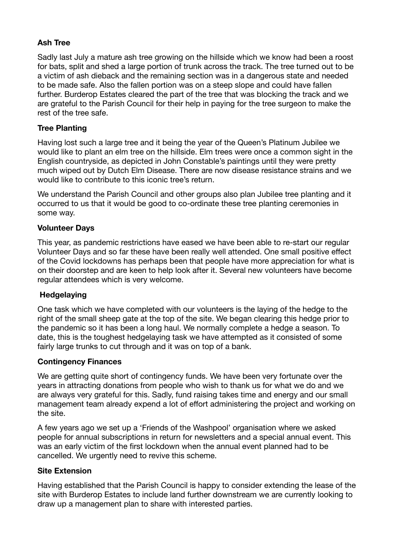# **Ash Tree**

Sadly last July a mature ash tree growing on the hillside which we know had been a roost for bats, split and shed a large portion of trunk across the track. The tree turned out to be a victim of ash dieback and the remaining section was in a dangerous state and needed to be made safe. Also the fallen portion was on a steep slope and could have fallen further. Burderop Estates cleared the part of the tree that was blocking the track and we are grateful to the Parish Council for their help in paying for the tree surgeon to make the rest of the tree safe.

# **Tree Planting**

Having lost such a large tree and it being the year of the Queen's Platinum Jubilee we would like to plant an elm tree on the hillside. Elm trees were once a common sight in the English countryside, as depicted in John Constable's paintings until they were pretty much wiped out by Dutch Elm Disease. There are now disease resistance strains and we would like to contribute to this iconic tree's return.

We understand the Parish Council and other groups also plan Jubilee tree planting and it occurred to us that it would be good to co-ordinate these tree planting ceremonies in some way.

# **Volunteer Days**

This year, as pandemic restrictions have eased we have been able to re-start our regular Volunteer Days and so far these have been really well attended. One small positive effect of the Covid lockdowns has perhaps been that people have more appreciation for what is on their doorstep and are keen to help look after it. Several new volunteers have become regular attendees which is very welcome.

## **Hedgelaying**

One task which we have completed with our volunteers is the laying of the hedge to the right of the small sheep gate at the top of the site. We began clearing this hedge prior to the pandemic so it has been a long haul. We normally complete a hedge a season. To date, this is the toughest hedgelaying task we have attempted as it consisted of some fairly large trunks to cut through and it was on top of a bank.

## **Contingency Finances**

We are getting quite short of contingency funds. We have been very fortunate over the years in attracting donations from people who wish to thank us for what we do and we are always very grateful for this. Sadly, fund raising takes time and energy and our small management team already expend a lot of effort administering the project and working on the site.

A few years ago we set up a 'Friends of the Washpool' organisation where we asked people for annual subscriptions in return for newsletters and a special annual event. This was an early victim of the first lockdown when the annual event planned had to be cancelled. We urgently need to revive this scheme.

## **Site Extension**

Having established that the Parish Council is happy to consider extending the lease of the site with Burderop Estates to include land further downstream we are currently looking to draw up a management plan to share with interested parties.